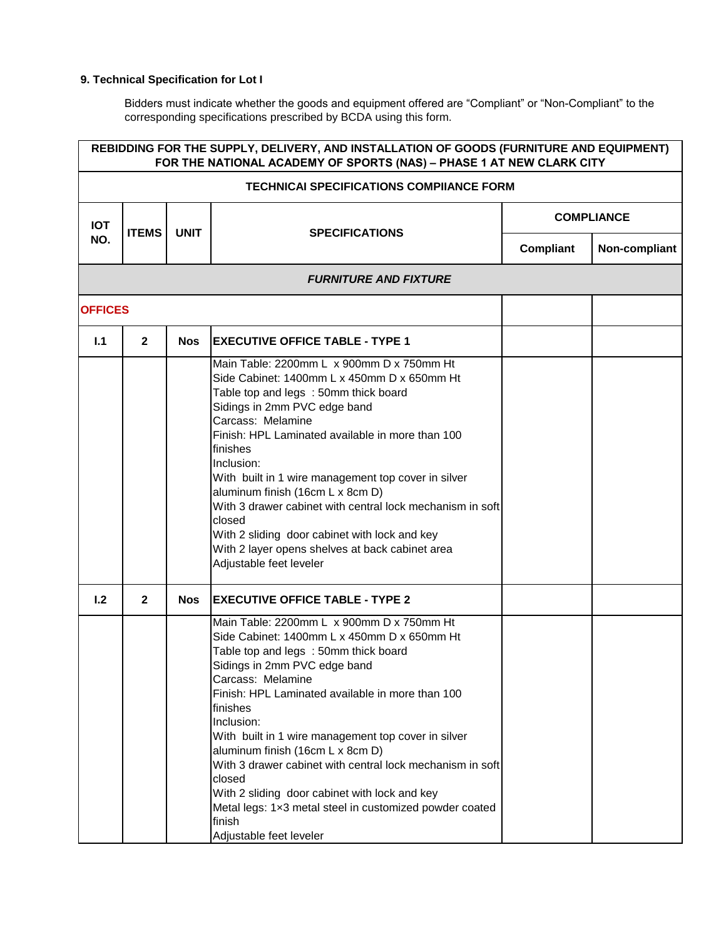## **9. Technical Specification for Lot I**

Bidders must indicate whether the goods and equipment offered are "Compliant" or "Non-Compliant" to the corresponding specifications prescribed by BCDA using this form.

|                | REBIDDING FOR THE SUPPLY, DELIVERY, AND INSTALLATION OF GOODS (FURNITURE AND EQUIPMENT)<br>FOR THE NATIONAL ACADEMY OF SPORTS (NAS) - PHASE 1 AT NEW CLARK CITY |             |                                                                                                                                                                                                                                                                                                                                                                                                                                                                                                                                                                                        |                   |               |  |  |  |
|----------------|-----------------------------------------------------------------------------------------------------------------------------------------------------------------|-------------|----------------------------------------------------------------------------------------------------------------------------------------------------------------------------------------------------------------------------------------------------------------------------------------------------------------------------------------------------------------------------------------------------------------------------------------------------------------------------------------------------------------------------------------------------------------------------------------|-------------------|---------------|--|--|--|
|                | <b>TECHNICAI SPECIFICATIONS COMPIIANCE FORM</b>                                                                                                                 |             |                                                                                                                                                                                                                                                                                                                                                                                                                                                                                                                                                                                        |                   |               |  |  |  |
| <b>IOT</b>     | <b>ITEMS</b>                                                                                                                                                    | <b>UNIT</b> | <b>SPECIFICATIONS</b>                                                                                                                                                                                                                                                                                                                                                                                                                                                                                                                                                                  | <b>COMPLIANCE</b> |               |  |  |  |
| NO.            |                                                                                                                                                                 |             |                                                                                                                                                                                                                                                                                                                                                                                                                                                                                                                                                                                        | Compliant         | Non-compliant |  |  |  |
|                |                                                                                                                                                                 |             | <b>FURNITURE AND FIXTURE</b>                                                                                                                                                                                                                                                                                                                                                                                                                                                                                                                                                           |                   |               |  |  |  |
| <b>OFFICES</b> |                                                                                                                                                                 |             |                                                                                                                                                                                                                                                                                                                                                                                                                                                                                                                                                                                        |                   |               |  |  |  |
| 1.1            | $\mathbf{2}$                                                                                                                                                    | <b>Nos</b>  | <b>EXECUTIVE OFFICE TABLE - TYPE 1</b>                                                                                                                                                                                                                                                                                                                                                                                                                                                                                                                                                 |                   |               |  |  |  |
|                |                                                                                                                                                                 |             | Main Table: 2200mm L x 900mm D x 750mm Ht<br>Side Cabinet: 1400mm L x 450mm D x 650mm Ht<br>Table top and legs : 50mm thick board<br>Sidings in 2mm PVC edge band<br>Carcass: Melamine<br>Finish: HPL Laminated available in more than 100<br>finishes<br>Inclusion:<br>With built in 1 wire management top cover in silver<br>aluminum finish (16cm L x 8cm D)<br>With 3 drawer cabinet with central lock mechanism in soft<br>closed<br>With 2 sliding door cabinet with lock and key<br>With 2 layer opens shelves at back cabinet area<br>Adjustable feet leveler                  |                   |               |  |  |  |
| 1.2            | $\overline{2}$                                                                                                                                                  | <b>Nos</b>  | <b>EXECUTIVE OFFICE TABLE - TYPE 2</b>                                                                                                                                                                                                                                                                                                                                                                                                                                                                                                                                                 |                   |               |  |  |  |
|                |                                                                                                                                                                 |             | Main Table: 2200mm L x 900mm D x 750mm Ht<br>Side Cabinet: 1400mm L x 450mm D x 650mm Ht<br>Table top and legs: 50mm thick board<br>Sidings in 2mm PVC edge band<br>Carcass: Melamine<br>Finish: HPL Laminated available in more than 100<br>finishes<br>Inclusion:<br>With built in 1 wire management top cover in silver<br>aluminum finish (16cm L x 8cm D)<br>With 3 drawer cabinet with central lock mechanism in soft<br>closed<br>With 2 sliding door cabinet with lock and key<br>Metal legs: 1x3 metal steel in customized powder coated<br>finish<br>Adjustable feet leveler |                   |               |  |  |  |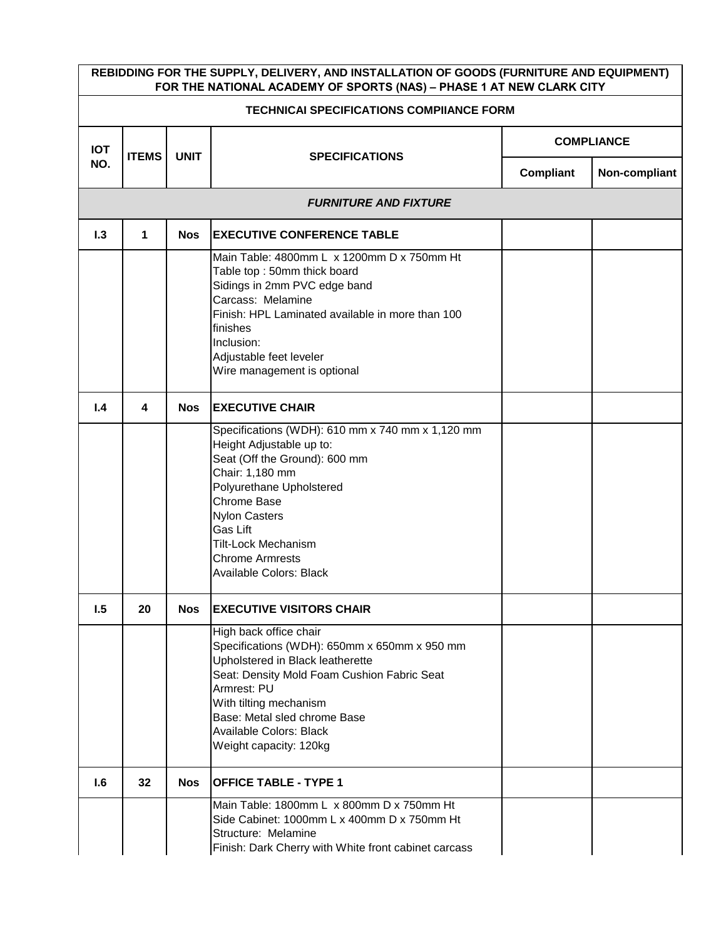|                                                 | REBIDDING FOR THE SUPPLY, DELIVERY, AND INSTALLATION OF GOODS (FURNITURE AND EQUIPMENT)<br>FOR THE NATIONAL ACADEMY OF SPORTS (NAS) - PHASE 1 AT NEW CLARK CITY |             |                                                                                                                                                                                                                                                                                                    |           |                   |  |  |  |
|-------------------------------------------------|-----------------------------------------------------------------------------------------------------------------------------------------------------------------|-------------|----------------------------------------------------------------------------------------------------------------------------------------------------------------------------------------------------------------------------------------------------------------------------------------------------|-----------|-------------------|--|--|--|
| <b>TECHNICAI SPECIFICATIONS COMPIIANCE FORM</b> |                                                                                                                                                                 |             |                                                                                                                                                                                                                                                                                                    |           |                   |  |  |  |
| <b>IOT</b>                                      | <b>ITEMS</b>                                                                                                                                                    | <b>UNIT</b> | <b>SPECIFICATIONS</b>                                                                                                                                                                                                                                                                              |           | <b>COMPLIANCE</b> |  |  |  |
| NO.                                             |                                                                                                                                                                 |             |                                                                                                                                                                                                                                                                                                    | Compliant | Non-compliant     |  |  |  |
|                                                 |                                                                                                                                                                 |             | <b>FURNITURE AND FIXTURE</b>                                                                                                                                                                                                                                                                       |           |                   |  |  |  |
| 1.3                                             | 1                                                                                                                                                               | <b>Nos</b>  | <b>EXECUTIVE CONFERENCE TABLE</b>                                                                                                                                                                                                                                                                  |           |                   |  |  |  |
|                                                 |                                                                                                                                                                 |             | Main Table: 4800mm L x 1200mm D x 750mm Ht<br>Table top: 50mm thick board<br>Sidings in 2mm PVC edge band<br>Carcass: Melamine<br>Finish: HPL Laminated available in more than 100<br>finishes<br>Inclusion:<br>Adjustable feet leveler<br>Wire management is optional                             |           |                   |  |  |  |
| 1.4                                             | 4                                                                                                                                                               | <b>Nos</b>  | <b>EXECUTIVE CHAIR</b>                                                                                                                                                                                                                                                                             |           |                   |  |  |  |
|                                                 |                                                                                                                                                                 |             | Specifications (WDH): 610 mm x 740 mm x 1,120 mm<br>Height Adjustable up to:<br>Seat (Off the Ground): 600 mm<br>Chair: 1,180 mm<br>Polyurethane Upholstered<br>Chrome Base<br><b>Nylon Casters</b><br>Gas Lift<br><b>Tilt-Lock Mechanism</b><br><b>Chrome Armrests</b><br>Available Colors: Black |           |                   |  |  |  |
| 1.5                                             | 20                                                                                                                                                              | <b>Nos</b>  | <b>EXECUTIVE VISITORS CHAIR</b>                                                                                                                                                                                                                                                                    |           |                   |  |  |  |
|                                                 |                                                                                                                                                                 |             | High back office chair<br>Specifications (WDH): 650mm x 650mm x 950 mm<br>Upholstered in Black leatherette<br>Seat: Density Mold Foam Cushion Fabric Seat<br>Armrest: PU<br>With tilting mechanism<br>Base: Metal sled chrome Base<br><b>Available Colors: Black</b><br>Weight capacity: 120kg     |           |                   |  |  |  |
| 1.6                                             | 32                                                                                                                                                              | <b>Nos</b>  | <b>OFFICE TABLE - TYPE 1</b>                                                                                                                                                                                                                                                                       |           |                   |  |  |  |
|                                                 |                                                                                                                                                                 |             | Main Table: 1800mm L x 800mm D x 750mm Ht<br>Side Cabinet: 1000mm L x 400mm D x 750mm Ht<br>Structure: Melamine<br>Finish: Dark Cherry with White front cabinet carcass                                                                                                                            |           |                   |  |  |  |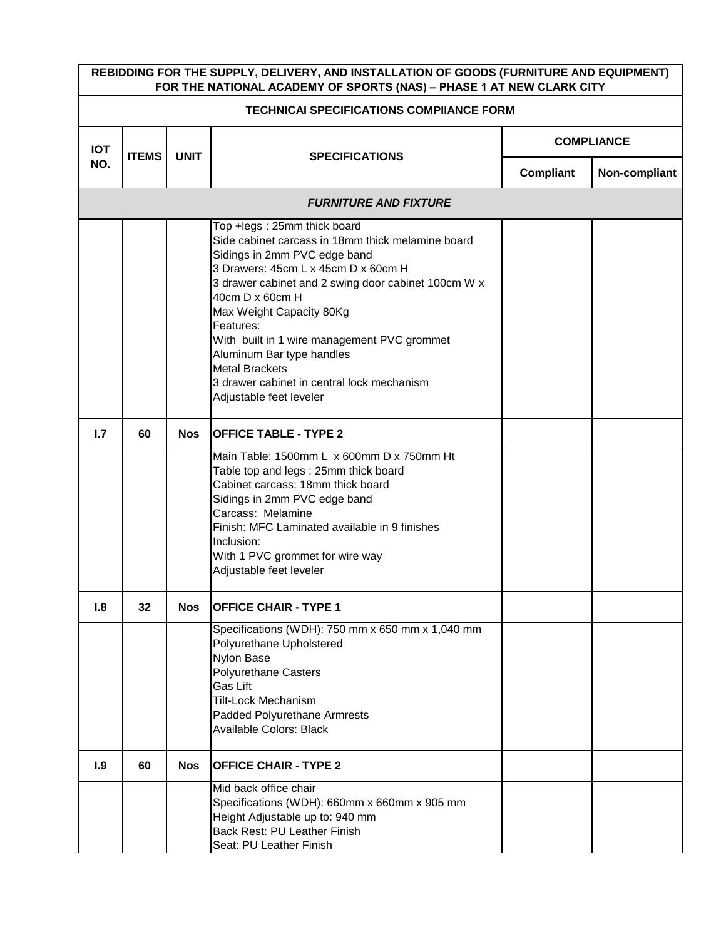|                                                 | REBIDDING FOR THE SUPPLY, DELIVERY, AND INSTALLATION OF GOODS (FURNITURE AND EQUIPMENT)<br>FOR THE NATIONAL ACADEMY OF SPORTS (NAS) - PHASE 1 AT NEW CLARK CITY |             |                                                                                                                                                                                                                                                                                                                                                                                                                                                          |           |                   |  |  |  |
|-------------------------------------------------|-----------------------------------------------------------------------------------------------------------------------------------------------------------------|-------------|----------------------------------------------------------------------------------------------------------------------------------------------------------------------------------------------------------------------------------------------------------------------------------------------------------------------------------------------------------------------------------------------------------------------------------------------------------|-----------|-------------------|--|--|--|
| <b>TECHNICAI SPECIFICATIONS COMPIIANCE FORM</b> |                                                                                                                                                                 |             |                                                                                                                                                                                                                                                                                                                                                                                                                                                          |           |                   |  |  |  |
| <b>IOT</b>                                      | <b>ITEMS</b>                                                                                                                                                    |             |                                                                                                                                                                                                                                                                                                                                                                                                                                                          |           | <b>COMPLIANCE</b> |  |  |  |
| NO.                                             |                                                                                                                                                                 | <b>UNIT</b> | <b>SPECIFICATIONS</b>                                                                                                                                                                                                                                                                                                                                                                                                                                    | Compliant | Non-compliant     |  |  |  |
|                                                 |                                                                                                                                                                 |             | <b>FURNITURE AND FIXTURE</b>                                                                                                                                                                                                                                                                                                                                                                                                                             |           |                   |  |  |  |
|                                                 |                                                                                                                                                                 |             | Top +legs: 25mm thick board<br>Side cabinet carcass in 18mm thick melamine board<br>Sidings in 2mm PVC edge band<br>3 Drawers: 45cm L x 45cm D x 60cm H<br>3 drawer cabinet and 2 swing door cabinet 100cm W x<br>40cm D x 60cm H<br>Max Weight Capacity 80Kg<br>Features:<br>With built in 1 wire management PVC grommet<br>Aluminum Bar type handles<br><b>Metal Brackets</b><br>3 drawer cabinet in central lock mechanism<br>Adjustable feet leveler |           |                   |  |  |  |
| 1.7                                             | 60                                                                                                                                                              | <b>Nos</b>  | <b>OFFICE TABLE - TYPE 2</b>                                                                                                                                                                                                                                                                                                                                                                                                                             |           |                   |  |  |  |
|                                                 |                                                                                                                                                                 |             | Main Table: 1500mm L x 600mm D x 750mm Ht<br>Table top and legs: 25mm thick board<br>Cabinet carcass: 18mm thick board<br>Sidings in 2mm PVC edge band<br>Carcass: Melamine<br>Finish: MFC Laminated available in 9 finishes<br>Inclusion:<br>With 1 PVC grommet for wire way<br>Adjustable feet leveler                                                                                                                                                 |           |                   |  |  |  |
| 1.8                                             | 32                                                                                                                                                              | <b>Nos</b>  | <b>OFFICE CHAIR - TYPE 1</b>                                                                                                                                                                                                                                                                                                                                                                                                                             |           |                   |  |  |  |
|                                                 |                                                                                                                                                                 |             | Specifications (WDH): 750 mm x 650 mm x 1,040 mm<br>Polyurethane Upholstered<br>Nylon Base<br><b>Polyurethane Casters</b><br>Gas Lift<br><b>Tilt-Lock Mechanism</b><br>Padded Polyurethane Armrests<br>Available Colors: Black                                                                                                                                                                                                                           |           |                   |  |  |  |
| 1.9                                             | 60                                                                                                                                                              | <b>Nos</b>  | <b>OFFICE CHAIR - TYPE 2</b>                                                                                                                                                                                                                                                                                                                                                                                                                             |           |                   |  |  |  |
|                                                 |                                                                                                                                                                 |             | Mid back office chair<br>Specifications (WDH): 660mm x 660mm x 905 mm<br>Height Adjustable up to: 940 mm<br>Back Rest: PU Leather Finish<br>Seat: PU Leather Finish                                                                                                                                                                                                                                                                                      |           |                   |  |  |  |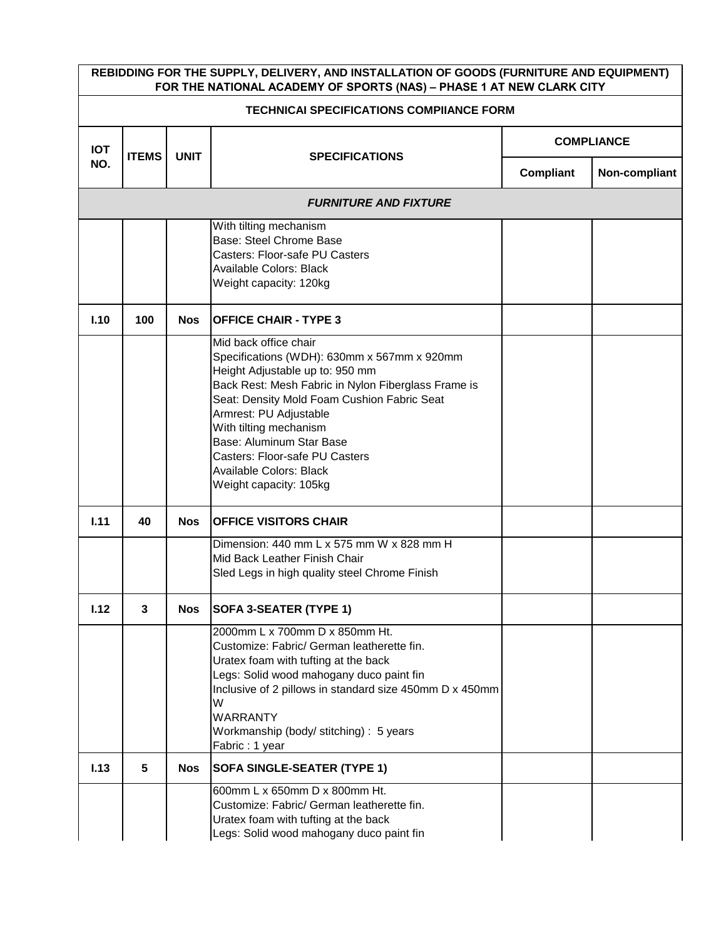|            | REBIDDING FOR THE SUPPLY, DELIVERY, AND INSTALLATION OF GOODS (FURNITURE AND EQUIPMENT)<br>FOR THE NATIONAL ACADEMY OF SPORTS (NAS) - PHASE 1 AT NEW CLARK CITY |             |                                                                                                                                                                                                                                                                                                                                                                                             |                   |               |  |  |  |  |
|------------|-----------------------------------------------------------------------------------------------------------------------------------------------------------------|-------------|---------------------------------------------------------------------------------------------------------------------------------------------------------------------------------------------------------------------------------------------------------------------------------------------------------------------------------------------------------------------------------------------|-------------------|---------------|--|--|--|--|
|            | <b>TECHNICAI SPECIFICATIONS COMPIIANCE FORM</b>                                                                                                                 |             |                                                                                                                                                                                                                                                                                                                                                                                             |                   |               |  |  |  |  |
| <b>IOT</b> | <b>ITEMS</b>                                                                                                                                                    | <b>UNIT</b> | <b>SPECIFICATIONS</b>                                                                                                                                                                                                                                                                                                                                                                       | <b>COMPLIANCE</b> |               |  |  |  |  |
| NO.        |                                                                                                                                                                 |             |                                                                                                                                                                                                                                                                                                                                                                                             | Compliant         | Non-compliant |  |  |  |  |
|            |                                                                                                                                                                 |             | <b>FURNITURE AND FIXTURE</b>                                                                                                                                                                                                                                                                                                                                                                |                   |               |  |  |  |  |
|            |                                                                                                                                                                 |             | With tilting mechanism<br>Base: Steel Chrome Base<br>Casters: Floor-safe PU Casters<br>Available Colors: Black<br>Weight capacity: 120kg                                                                                                                                                                                                                                                    |                   |               |  |  |  |  |
| I.10       | 100                                                                                                                                                             | <b>Nos</b>  | <b>OFFICE CHAIR - TYPE 3</b>                                                                                                                                                                                                                                                                                                                                                                |                   |               |  |  |  |  |
|            |                                                                                                                                                                 |             | Mid back office chair<br>Specifications (WDH): 630mm x 567mm x 920mm<br>Height Adjustable up to: 950 mm<br>Back Rest: Mesh Fabric in Nylon Fiberglass Frame is<br>Seat: Density Mold Foam Cushion Fabric Seat<br>Armrest: PU Adjustable<br>With tilting mechanism<br>Base: Aluminum Star Base<br>Casters: Floor-safe PU Casters<br><b>Available Colors: Black</b><br>Weight capacity: 105kg |                   |               |  |  |  |  |
| 1.11       | 40                                                                                                                                                              | <b>Nos</b>  | <b>OFFICE VISITORS CHAIR</b>                                                                                                                                                                                                                                                                                                                                                                |                   |               |  |  |  |  |
|            |                                                                                                                                                                 |             | Dimension: 440 mm L x 575 mm W x 828 mm H<br>Mid Back Leather Finish Chair<br>Sled Legs in high quality steel Chrome Finish                                                                                                                                                                                                                                                                 |                   |               |  |  |  |  |
| 1.12       | 3                                                                                                                                                               | <b>Nos</b>  | <b>SOFA 3-SEATER (TYPE 1)</b>                                                                                                                                                                                                                                                                                                                                                               |                   |               |  |  |  |  |
|            |                                                                                                                                                                 |             | 2000mm L x 700mm D x 850mm Ht.<br>Customize: Fabric/ German leatherette fin.<br>Uratex foam with tufting at the back<br>Legs: Solid wood mahogany duco paint fin<br>Inclusive of 2 pillows in standard size 450mm D x 450mm<br>W<br><b>WARRANTY</b><br>Workmanship (body/ stitching) : 5 years<br>Fabric: 1 year                                                                            |                   |               |  |  |  |  |
| 1.13       | 5                                                                                                                                                               | <b>Nos</b>  | <b>SOFA SINGLE-SEATER (TYPE 1)</b>                                                                                                                                                                                                                                                                                                                                                          |                   |               |  |  |  |  |
|            |                                                                                                                                                                 |             | 600mm L x 650mm D x 800mm Ht.<br>Customize: Fabric/ German leatherette fin.<br>Uratex foam with tufting at the back<br>Legs: Solid wood mahogany duco paint fin                                                                                                                                                                                                                             |                   |               |  |  |  |  |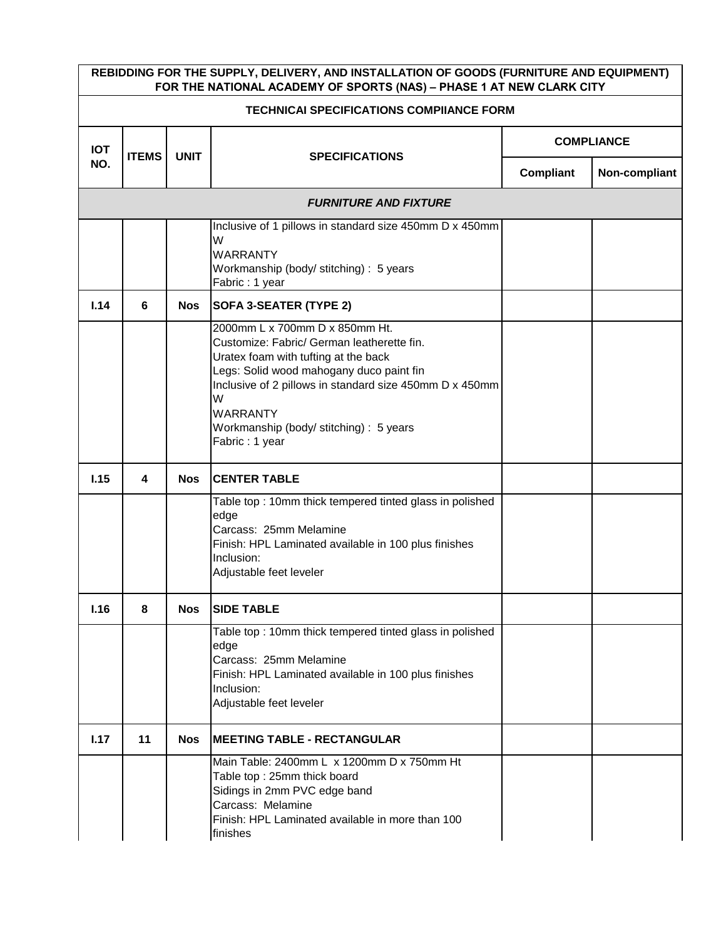|            | REBIDDING FOR THE SUPPLY, DELIVERY, AND INSTALLATION OF GOODS (FURNITURE AND EQUIPMENT)<br>FOR THE NATIONAL ACADEMY OF SPORTS (NAS) - PHASE 1 AT NEW CLARK CITY |             |                                                                                                                                                                                                                                                                                                                  |           |                   |  |  |  |  |
|------------|-----------------------------------------------------------------------------------------------------------------------------------------------------------------|-------------|------------------------------------------------------------------------------------------------------------------------------------------------------------------------------------------------------------------------------------------------------------------------------------------------------------------|-----------|-------------------|--|--|--|--|
|            | <b>TECHNICAI SPECIFICATIONS COMPIIANCE FORM</b>                                                                                                                 |             |                                                                                                                                                                                                                                                                                                                  |           |                   |  |  |  |  |
| <b>IOT</b> | <b>ITEMS</b>                                                                                                                                                    | <b>UNIT</b> | <b>SPECIFICATIONS</b>                                                                                                                                                                                                                                                                                            |           | <b>COMPLIANCE</b> |  |  |  |  |
| NO.        |                                                                                                                                                                 |             |                                                                                                                                                                                                                                                                                                                  | Compliant | Non-compliant     |  |  |  |  |
|            |                                                                                                                                                                 |             | <b>FURNITURE AND FIXTURE</b>                                                                                                                                                                                                                                                                                     |           |                   |  |  |  |  |
|            |                                                                                                                                                                 |             | Inclusive of 1 pillows in standard size 450mm D x 450mm<br>W                                                                                                                                                                                                                                                     |           |                   |  |  |  |  |
|            |                                                                                                                                                                 |             | <b>WARRANTY</b><br>Workmanship (body/ stitching) : 5 years<br>Fabric: 1 year                                                                                                                                                                                                                                     |           |                   |  |  |  |  |
| 1.14       | 6                                                                                                                                                               | <b>Nos</b>  | SOFA 3-SEATER (TYPE 2)                                                                                                                                                                                                                                                                                           |           |                   |  |  |  |  |
|            |                                                                                                                                                                 |             | 2000mm L x 700mm D x 850mm Ht.<br>Customize: Fabric/ German leatherette fin.<br>Uratex foam with tufting at the back<br>Legs: Solid wood mahogany duco paint fin<br>Inclusive of 2 pillows in standard size 450mm D x 450mm<br>W<br><b>WARRANTY</b><br>Workmanship (body/ stitching) : 5 years<br>Fabric: 1 year |           |                   |  |  |  |  |
| 1.15       | 4                                                                                                                                                               | <b>Nos</b>  | <b>CENTER TABLE</b>                                                                                                                                                                                                                                                                                              |           |                   |  |  |  |  |
|            |                                                                                                                                                                 |             | Table top: 10mm thick tempered tinted glass in polished<br>edge<br>Carcass: 25mm Melamine<br>Finish: HPL Laminated available in 100 plus finishes<br>Inclusion:<br>Adjustable feet leveler                                                                                                                       |           |                   |  |  |  |  |
| 1.16       | 8                                                                                                                                                               | <b>Nos</b>  | <b>SIDE TABLE</b>                                                                                                                                                                                                                                                                                                |           |                   |  |  |  |  |
|            |                                                                                                                                                                 |             | Table top: 10mm thick tempered tinted glass in polished<br>edge<br>Carcass: 25mm Melamine<br>Finish: HPL Laminated available in 100 plus finishes<br>Inclusion:<br>Adjustable feet leveler                                                                                                                       |           |                   |  |  |  |  |
| 1.17       | 11                                                                                                                                                              | <b>Nos</b>  | <b>IMEETING TABLE - RECTANGULAR</b>                                                                                                                                                                                                                                                                              |           |                   |  |  |  |  |
|            |                                                                                                                                                                 |             | Main Table: 2400mm L x 1200mm D x 750mm Ht<br>Table top: 25mm thick board<br>Sidings in 2mm PVC edge band<br>Carcass: Melamine<br>Finish: HPL Laminated available in more than 100<br>finishes                                                                                                                   |           |                   |  |  |  |  |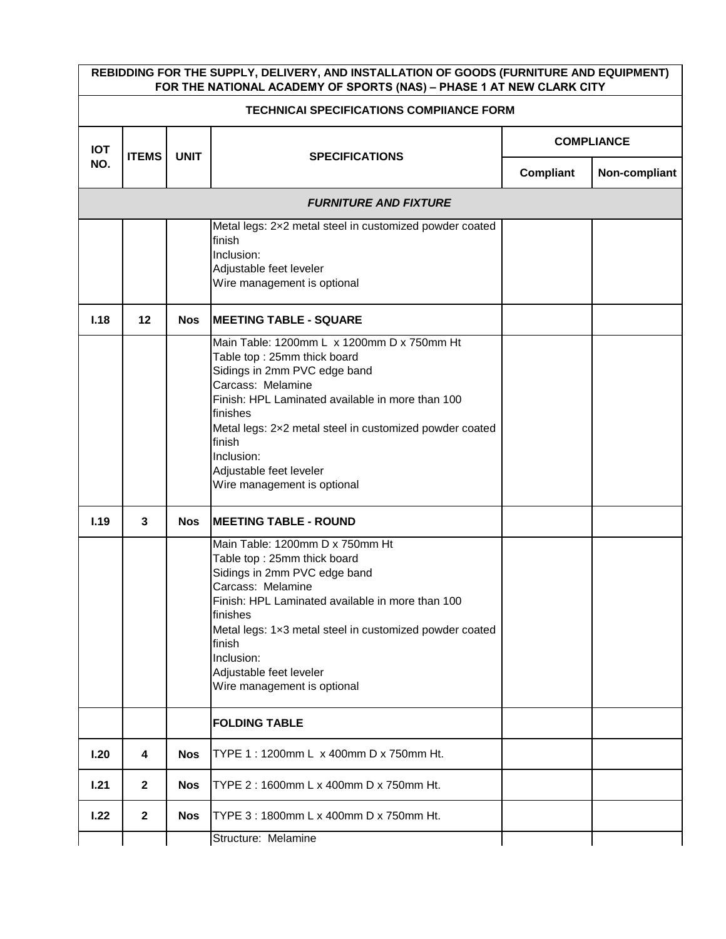|            | REBIDDING FOR THE SUPPLY, DELIVERY, AND INSTALLATION OF GOODS (FURNITURE AND EQUIPMENT)<br>FOR THE NATIONAL ACADEMY OF SPORTS (NAS) - PHASE 1 AT NEW CLARK CITY |                                      |                                                                                                                                                                                                                                                                                                                                             |                   |               |  |  |  |
|------------|-----------------------------------------------------------------------------------------------------------------------------------------------------------------|--------------------------------------|---------------------------------------------------------------------------------------------------------------------------------------------------------------------------------------------------------------------------------------------------------------------------------------------------------------------------------------------|-------------------|---------------|--|--|--|
|            | <b>TECHNICAI SPECIFICATIONS COMPIIANCE FORM</b>                                                                                                                 |                                      |                                                                                                                                                                                                                                                                                                                                             |                   |               |  |  |  |
| <b>IOT</b> | <b>ITEMS</b>                                                                                                                                                    |                                      |                                                                                                                                                                                                                                                                                                                                             | <b>COMPLIANCE</b> |               |  |  |  |
| NO.        |                                                                                                                                                                 | <b>UNIT</b><br><b>SPECIFICATIONS</b> |                                                                                                                                                                                                                                                                                                                                             | <b>Compliant</b>  | Non-compliant |  |  |  |
|            |                                                                                                                                                                 |                                      | <b>FURNITURE AND FIXTURE</b>                                                                                                                                                                                                                                                                                                                |                   |               |  |  |  |
|            |                                                                                                                                                                 |                                      | Metal legs: 2x2 metal steel in customized powder coated<br>finish<br>Inclusion:<br>Adjustable feet leveler<br>Wire management is optional                                                                                                                                                                                                   |                   |               |  |  |  |
| 1.18       | 12                                                                                                                                                              | <b>Nos</b>                           | <b>IMEETING TABLE - SQUARE</b>                                                                                                                                                                                                                                                                                                              |                   |               |  |  |  |
|            |                                                                                                                                                                 |                                      | Main Table: 1200mm L x 1200mm D x 750mm Ht<br>Table top: 25mm thick board<br>Sidings in 2mm PVC edge band<br>Carcass: Melamine<br>Finish: HPL Laminated available in more than 100<br>finishes<br>Metal legs: 2x2 metal steel in customized powder coated<br>finish<br>Inclusion:<br>Adjustable feet leveler<br>Wire management is optional |                   |               |  |  |  |
| 1.19       | 3                                                                                                                                                               | <b>Nos</b>                           | <b>IMEETING TABLE - ROUND</b>                                                                                                                                                                                                                                                                                                               |                   |               |  |  |  |
|            |                                                                                                                                                                 |                                      | Main Table: 1200mm D x 750mm Ht<br>Table top: 25mm thick board<br>Sidings in 2mm PVC edge band<br>Carcass: Melamine<br>Finish: HPL Laminated available in more than 100<br>finishes<br>Metal legs: 1x3 metal steel in customized powder coated<br>finish<br>Inclusion:<br>Adjustable feet leveler<br>Wire management is optional            |                   |               |  |  |  |
|            |                                                                                                                                                                 |                                      | <b>FOLDING TABLE</b>                                                                                                                                                                                                                                                                                                                        |                   |               |  |  |  |
| 1.20       | 4                                                                                                                                                               | <b>Nos</b>                           | TYPE 1: 1200mm L x 400mm D x 750mm Ht.                                                                                                                                                                                                                                                                                                      |                   |               |  |  |  |
| 1.21       | $\mathbf{2}$                                                                                                                                                    | <b>Nos</b>                           | TYPE 2: 1600mm L x 400mm D x 750mm Ht.                                                                                                                                                                                                                                                                                                      |                   |               |  |  |  |
| 1.22       | $\mathbf{2}$                                                                                                                                                    | <b>Nos</b>                           | TYPE 3: 1800mm L x 400mm D x 750mm Ht.                                                                                                                                                                                                                                                                                                      |                   |               |  |  |  |
|            |                                                                                                                                                                 |                                      | Structure: Melamine                                                                                                                                                                                                                                                                                                                         |                   |               |  |  |  |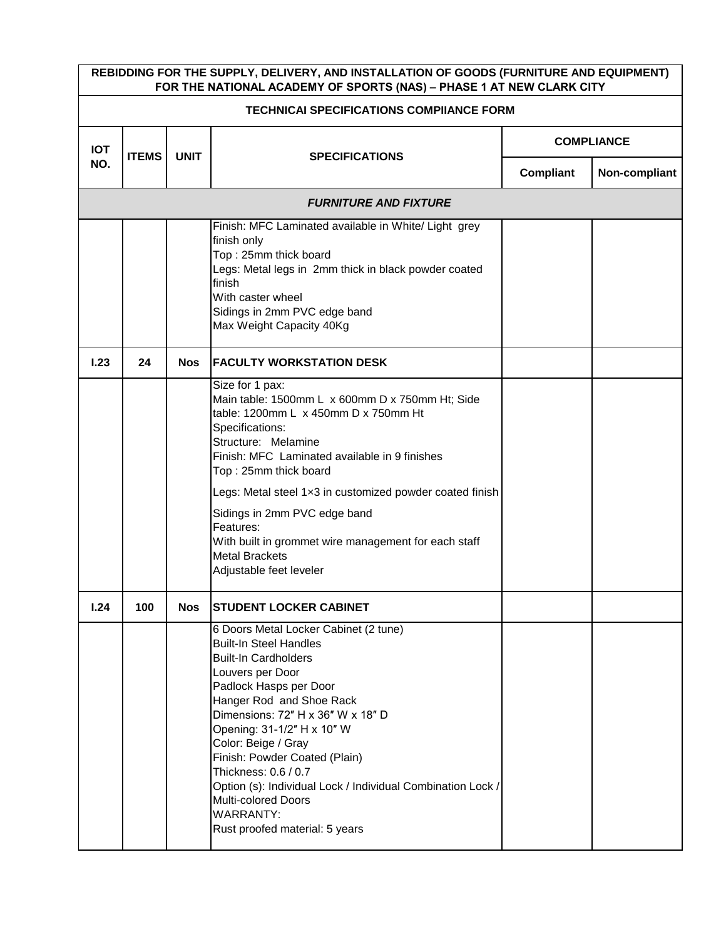|            | REBIDDING FOR THE SUPPLY, DELIVERY, AND INSTALLATION OF GOODS (FURNITURE AND EQUIPMENT)<br>FOR THE NATIONAL ACADEMY OF SPORTS (NAS) - PHASE 1 AT NEW CLARK CITY |             |                                                                                                                                                                                                                                                                                                                                                                                                                                                                                |           |                   |  |  |  |  |
|------------|-----------------------------------------------------------------------------------------------------------------------------------------------------------------|-------------|--------------------------------------------------------------------------------------------------------------------------------------------------------------------------------------------------------------------------------------------------------------------------------------------------------------------------------------------------------------------------------------------------------------------------------------------------------------------------------|-----------|-------------------|--|--|--|--|
|            | <b>TECHNICAI SPECIFICATIONS COMPIIANCE FORM</b>                                                                                                                 |             |                                                                                                                                                                                                                                                                                                                                                                                                                                                                                |           |                   |  |  |  |  |
| <b>IOT</b> | <b>ITEMS</b>                                                                                                                                                    | <b>UNIT</b> | <b>SPECIFICATIONS</b>                                                                                                                                                                                                                                                                                                                                                                                                                                                          |           | <b>COMPLIANCE</b> |  |  |  |  |
| NO.        |                                                                                                                                                                 |             |                                                                                                                                                                                                                                                                                                                                                                                                                                                                                | Compliant | Non-compliant     |  |  |  |  |
|            |                                                                                                                                                                 |             | <b>FURNITURE AND FIXTURE</b>                                                                                                                                                                                                                                                                                                                                                                                                                                                   |           |                   |  |  |  |  |
|            |                                                                                                                                                                 |             | Finish: MFC Laminated available in White/ Light grey<br>finish only<br>Top: 25mm thick board<br>Legs: Metal legs in 2mm thick in black powder coated<br>finish<br>With caster wheel<br>Sidings in 2mm PVC edge band<br>Max Weight Capacity 40Kg                                                                                                                                                                                                                                |           |                   |  |  |  |  |
| 1.23       | 24                                                                                                                                                              | <b>Nos</b>  | <b>FACULTY WORKSTATION DESK</b>                                                                                                                                                                                                                                                                                                                                                                                                                                                |           |                   |  |  |  |  |
|            |                                                                                                                                                                 |             | Size for 1 pax:<br>Main table: 1500mm L x 600mm D x 750mm Ht; Side<br>table: 1200mm L x 450mm D x 750mm Ht<br>Specifications:<br>Structure: Melamine<br>Finish: MFC Laminated available in 9 finishes<br>Top: 25mm thick board<br>Legs: Metal steel 1x3 in customized powder coated finish<br>Sidings in 2mm PVC edge band<br>Features:<br>With built in grommet wire management for each staff<br><b>Metal Brackets</b><br>Adjustable feet leveler                            |           |                   |  |  |  |  |
| 1.24       | 100                                                                                                                                                             | Nos         | <b>STUDENT LOCKER CABINET</b>                                                                                                                                                                                                                                                                                                                                                                                                                                                  |           |                   |  |  |  |  |
|            |                                                                                                                                                                 |             | 6 Doors Metal Locker Cabinet (2 tune)<br><b>Built-In Steel Handles</b><br><b>Built-In Cardholders</b><br>Louvers per Door<br>Padlock Hasps per Door<br>Hanger Rod and Shoe Rack<br>Dimensions: 72" H x 36" W x 18" D<br>Opening: 31-1/2" H x 10" W<br>Color: Beige / Gray<br>Finish: Powder Coated (Plain)<br>Thickness: 0.6 / 0.7<br>Option (s): Individual Lock / Individual Combination Lock /<br>Multi-colored Doors<br><b>WARRANTY:</b><br>Rust proofed material: 5 years |           |                   |  |  |  |  |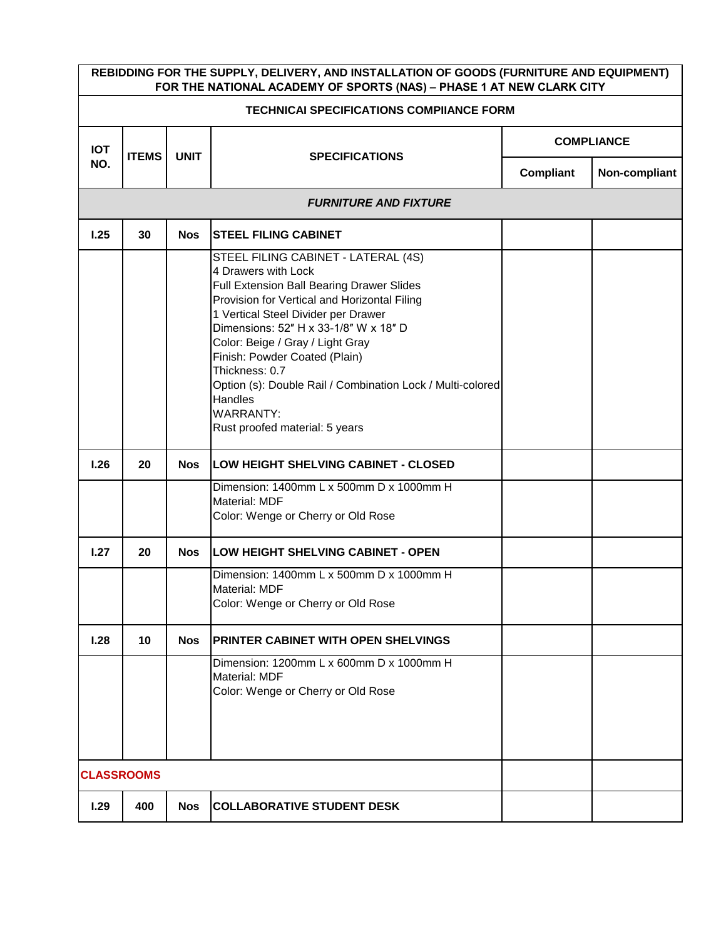|                   | REBIDDING FOR THE SUPPLY, DELIVERY, AND INSTALLATION OF GOODS (FURNITURE AND EQUIPMENT)<br>FOR THE NATIONAL ACADEMY OF SPORTS (NAS) - PHASE 1 AT NEW CLARK CITY |             |                                                                                                                                                                                                                                                                                                                                                                                                                                                               |                   |               |  |  |  |
|-------------------|-----------------------------------------------------------------------------------------------------------------------------------------------------------------|-------------|---------------------------------------------------------------------------------------------------------------------------------------------------------------------------------------------------------------------------------------------------------------------------------------------------------------------------------------------------------------------------------------------------------------------------------------------------------------|-------------------|---------------|--|--|--|
|                   | <b>TECHNICAI SPECIFICATIONS COMPIIANCE FORM</b>                                                                                                                 |             |                                                                                                                                                                                                                                                                                                                                                                                                                                                               |                   |               |  |  |  |
| <b>IOT</b>        |                                                                                                                                                                 | <b>UNIT</b> | <b>SPECIFICATIONS</b>                                                                                                                                                                                                                                                                                                                                                                                                                                         | <b>COMPLIANCE</b> |               |  |  |  |
| NO.               | <b>ITEMS</b>                                                                                                                                                    |             |                                                                                                                                                                                                                                                                                                                                                                                                                                                               | Compliant         | Non-compliant |  |  |  |
|                   |                                                                                                                                                                 |             | <b>FURNITURE AND FIXTURE</b>                                                                                                                                                                                                                                                                                                                                                                                                                                  |                   |               |  |  |  |
| 1.25              | 30                                                                                                                                                              | <b>Nos</b>  | <b>STEEL FILING CABINET</b>                                                                                                                                                                                                                                                                                                                                                                                                                                   |                   |               |  |  |  |
|                   |                                                                                                                                                                 |             | STEEL FILING CABINET - LATERAL (4S)<br>4 Drawers with Lock<br>Full Extension Ball Bearing Drawer Slides<br>Provision for Vertical and Horizontal Filing<br>1 Vertical Steel Divider per Drawer<br>Dimensions: 52" H x 33-1/8" W x 18" D<br>Color: Beige / Gray / Light Gray<br>Finish: Powder Coated (Plain)<br>Thickness: 0.7<br>Option (s): Double Rail / Combination Lock / Multi-colored<br>Handles<br><b>WARRANTY:</b><br>Rust proofed material: 5 years |                   |               |  |  |  |
| 1.26              | 20                                                                                                                                                              | <b>Nos</b>  | <b>LOW HEIGHT SHELVING CABINET - CLOSED</b>                                                                                                                                                                                                                                                                                                                                                                                                                   |                   |               |  |  |  |
|                   |                                                                                                                                                                 |             | Dimension: 1400mm L x 500mm D x 1000mm H<br>Material: MDF<br>Color: Wenge or Cherry or Old Rose                                                                                                                                                                                                                                                                                                                                                               |                   |               |  |  |  |
| 1.27              | 20                                                                                                                                                              | <b>Nos</b>  | LOW HEIGHT SHELVING CABINET - OPEN                                                                                                                                                                                                                                                                                                                                                                                                                            |                   |               |  |  |  |
|                   |                                                                                                                                                                 |             | Dimension: 1400mm L x 500mm D x 1000mm H<br>Material: MDF<br>Color: Wenge or Cherry or Old Rose                                                                                                                                                                                                                                                                                                                                                               |                   |               |  |  |  |
| 1.28              | 10                                                                                                                                                              | <b>Nos</b>  | PRINTER CABINET WITH OPEN SHELVINGS                                                                                                                                                                                                                                                                                                                                                                                                                           |                   |               |  |  |  |
|                   |                                                                                                                                                                 |             | Dimension: 1200mm L x 600mm D x 1000mm H<br>Material: MDF<br>Color: Wenge or Cherry or Old Rose                                                                                                                                                                                                                                                                                                                                                               |                   |               |  |  |  |
| <b>CLASSROOMS</b> |                                                                                                                                                                 |             |                                                                                                                                                                                                                                                                                                                                                                                                                                                               |                   |               |  |  |  |
| 1.29              | 400                                                                                                                                                             | <b>Nos</b>  | <b>COLLABORATIVE STUDENT DESK</b>                                                                                                                                                                                                                                                                                                                                                                                                                             |                   |               |  |  |  |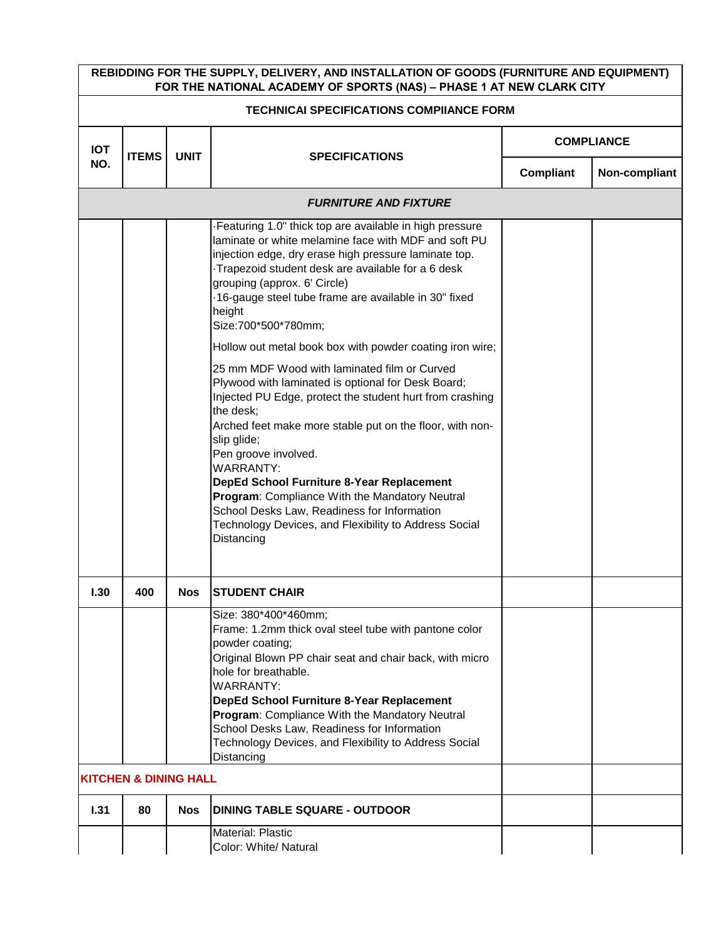|            | REBIDDING FOR THE SUPPLY, DELIVERY, AND INSTALLATION OF GOODS (FURNITURE AND EQUIPMENT)<br>FOR THE NATIONAL ACADEMY OF SPORTS (NAS) - PHASE 1 AT NEW CLARK CITY |             |                                                                                                                                                                                                                                                                                                                                                                                                                                                                                                                                                                                                                                                                                                                                                                                                                                                                                                                                               |                  |                   |  |  |  |  |
|------------|-----------------------------------------------------------------------------------------------------------------------------------------------------------------|-------------|-----------------------------------------------------------------------------------------------------------------------------------------------------------------------------------------------------------------------------------------------------------------------------------------------------------------------------------------------------------------------------------------------------------------------------------------------------------------------------------------------------------------------------------------------------------------------------------------------------------------------------------------------------------------------------------------------------------------------------------------------------------------------------------------------------------------------------------------------------------------------------------------------------------------------------------------------|------------------|-------------------|--|--|--|--|
|            | <b>TECHNICAI SPECIFICATIONS COMPIIANCE FORM</b>                                                                                                                 |             |                                                                                                                                                                                                                                                                                                                                                                                                                                                                                                                                                                                                                                                                                                                                                                                                                                                                                                                                               |                  |                   |  |  |  |  |
| <b>IOT</b> | <b>ITEMS</b>                                                                                                                                                    | <b>UNIT</b> | <b>SPECIFICATIONS</b>                                                                                                                                                                                                                                                                                                                                                                                                                                                                                                                                                                                                                                                                                                                                                                                                                                                                                                                         |                  | <b>COMPLIANCE</b> |  |  |  |  |
| NO.        |                                                                                                                                                                 |             |                                                                                                                                                                                                                                                                                                                                                                                                                                                                                                                                                                                                                                                                                                                                                                                                                                                                                                                                               | <b>Compliant</b> | Non-compliant     |  |  |  |  |
|            |                                                                                                                                                                 |             | <b>FURNITURE AND FIXTURE</b>                                                                                                                                                                                                                                                                                                                                                                                                                                                                                                                                                                                                                                                                                                                                                                                                                                                                                                                  |                  |                   |  |  |  |  |
|            |                                                                                                                                                                 |             | Featuring 1.0" thick top are available in high pressure<br>laminate or white melamine face with MDF and soft PU<br>injection edge, dry erase high pressure laminate top.<br>Trapezoid student desk are available for a 6 desk<br>grouping (approx. 6' Circle)<br>16-gauge steel tube frame are available in 30" fixed<br>height<br>Size:700*500*780mm;<br>Hollow out metal book box with powder coating iron wire;<br>25 mm MDF Wood with laminated film or Curved<br>Plywood with laminated is optional for Desk Board;<br>Injected PU Edge, protect the student hurt from crashing<br>the desk;<br>Arched feet make more stable put on the floor, with non-<br>slip glide;<br>Pen groove involved.<br><b>WARRANTY:</b><br>DepEd School Furniture 8-Year Replacement<br>Program: Compliance With the Mandatory Neutral<br>School Desks Law, Readiness for Information<br>Technology Devices, and Flexibility to Address Social<br>Distancing |                  |                   |  |  |  |  |
| 1.30       | 400                                                                                                                                                             | <b>Nos</b>  | <b>STUDENT CHAIR</b>                                                                                                                                                                                                                                                                                                                                                                                                                                                                                                                                                                                                                                                                                                                                                                                                                                                                                                                          |                  |                   |  |  |  |  |
|            |                                                                                                                                                                 |             | Size: 380*400*460mm;<br>Frame: 1.2mm thick oval steel tube with pantone color<br>powder coating;<br>Original Blown PP chair seat and chair back, with micro<br>hole for breathable.<br><b>WARRANTY:</b><br>DepEd School Furniture 8-Year Replacement<br>Program: Compliance With the Mandatory Neutral<br>School Desks Law, Readiness for Information<br>Technology Devices, and Flexibility to Address Social<br>Distancing                                                                                                                                                                                                                                                                                                                                                                                                                                                                                                                  |                  |                   |  |  |  |  |
|            | <b>KITCHEN &amp; DINING HALL</b>                                                                                                                                |             |                                                                                                                                                                                                                                                                                                                                                                                                                                                                                                                                                                                                                                                                                                                                                                                                                                                                                                                                               |                  |                   |  |  |  |  |
| 1.31       | 80                                                                                                                                                              | <b>Nos</b>  | <b>IDINING TABLE SQUARE - OUTDOOR</b>                                                                                                                                                                                                                                                                                                                                                                                                                                                                                                                                                                                                                                                                                                                                                                                                                                                                                                         |                  |                   |  |  |  |  |
|            |                                                                                                                                                                 |             | <b>Material: Plastic</b><br>Color: White/ Natural                                                                                                                                                                                                                                                                                                                                                                                                                                                                                                                                                                                                                                                                                                                                                                                                                                                                                             |                  |                   |  |  |  |  |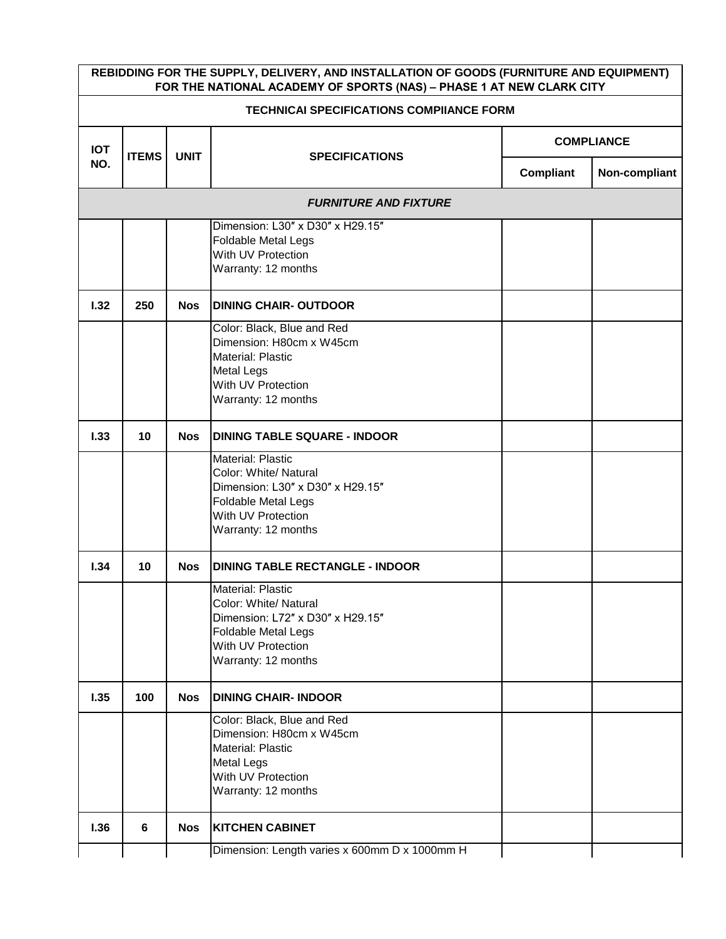|                                                 | REBIDDING FOR THE SUPPLY, DELIVERY, AND INSTALLATION OF GOODS (FURNITURE AND EQUIPMENT)<br>FOR THE NATIONAL ACADEMY OF SPORTS (NAS) - PHASE 1 AT NEW CLARK CITY |             |                                                                                                                                                           |                   |               |  |  |  |
|-------------------------------------------------|-----------------------------------------------------------------------------------------------------------------------------------------------------------------|-------------|-----------------------------------------------------------------------------------------------------------------------------------------------------------|-------------------|---------------|--|--|--|
| <b>TECHNICAI SPECIFICATIONS COMPIIANCE FORM</b> |                                                                                                                                                                 |             |                                                                                                                                                           |                   |               |  |  |  |
| <b>IOT</b>                                      | <b>ITEMS</b>                                                                                                                                                    | <b>UNIT</b> |                                                                                                                                                           | <b>COMPLIANCE</b> |               |  |  |  |
| NO.                                             |                                                                                                                                                                 |             | <b>SPECIFICATIONS</b>                                                                                                                                     | Compliant         | Non-compliant |  |  |  |
|                                                 |                                                                                                                                                                 |             | <b>FURNITURE AND FIXTURE</b>                                                                                                                              |                   |               |  |  |  |
|                                                 |                                                                                                                                                                 |             | Dimension: L30" x D30" x H29.15"<br><b>Foldable Metal Legs</b><br>With UV Protection<br>Warranty: 12 months                                               |                   |               |  |  |  |
| 1.32                                            | 250                                                                                                                                                             | <b>Nos</b>  | <b>DINING CHAIR-OUTDOOR</b>                                                                                                                               |                   |               |  |  |  |
|                                                 |                                                                                                                                                                 |             | Color: Black, Blue and Red<br>Dimension: H80cm x W45cm<br>Material: Plastic<br><b>Metal Legs</b><br>With UV Protection<br>Warranty: 12 months             |                   |               |  |  |  |
| 1.33                                            | 10                                                                                                                                                              | <b>Nos</b>  | <b>DINING TABLE SQUARE - INDOOR</b>                                                                                                                       |                   |               |  |  |  |
|                                                 |                                                                                                                                                                 |             | <b>Material: Plastic</b><br>Color: White/ Natural<br>Dimension: L30" x D30" x H29.15"<br>Foldable Metal Legs<br>With UV Protection<br>Warranty: 12 months |                   |               |  |  |  |
| 1.34                                            | 10                                                                                                                                                              | <b>Nos</b>  | <b>DINING TABLE RECTANGLE - INDOOR</b>                                                                                                                    |                   |               |  |  |  |
|                                                 |                                                                                                                                                                 |             | Material: Plastic<br>Color: White/ Natural<br>Dimension: L72" x D30" x H29.15"<br>Foldable Metal Legs<br>With UV Protection<br>Warranty: 12 months        |                   |               |  |  |  |
| 1.35                                            | 100                                                                                                                                                             | <b>Nos</b>  | <b>DINING CHAIR-INDOOR</b>                                                                                                                                |                   |               |  |  |  |
|                                                 |                                                                                                                                                                 |             | Color: Black, Blue and Red<br>Dimension: H80cm x W45cm<br><b>Material: Plastic</b><br><b>Metal Legs</b><br>With UV Protection<br>Warranty: 12 months      |                   |               |  |  |  |
| 1.36                                            | 6                                                                                                                                                               | <b>Nos</b>  | <b>KITCHEN CABINET</b>                                                                                                                                    |                   |               |  |  |  |
|                                                 |                                                                                                                                                                 |             | Dimension: Length varies x 600mm D x 1000mm H                                                                                                             |                   |               |  |  |  |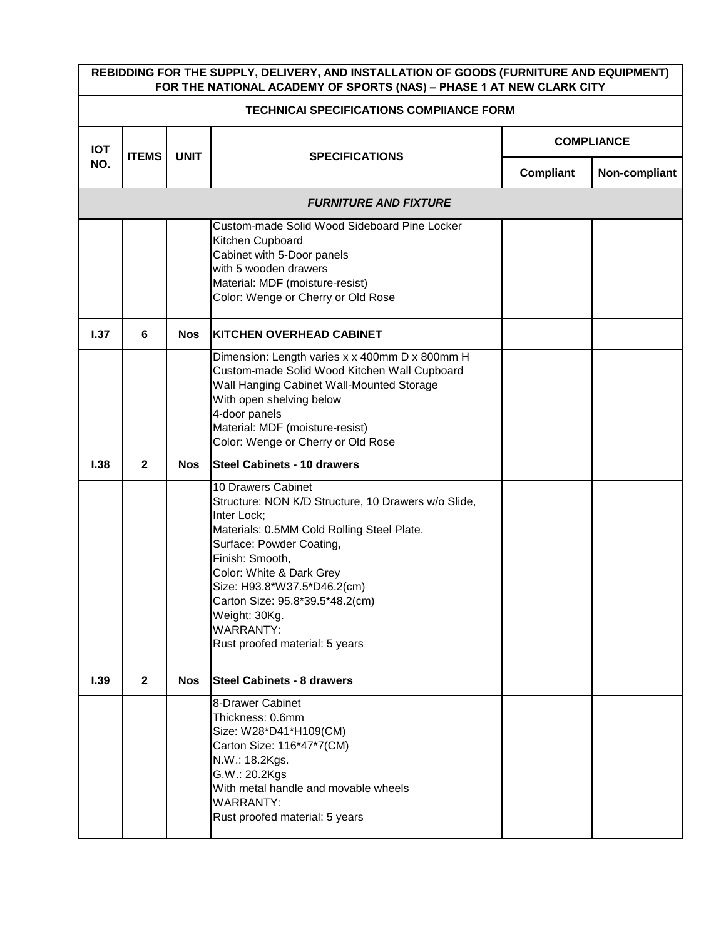|            | REBIDDING FOR THE SUPPLY, DELIVERY, AND INSTALLATION OF GOODS (FURNITURE AND EQUIPMENT)<br>FOR THE NATIONAL ACADEMY OF SPORTS (NAS) - PHASE 1 AT NEW CLARK CITY |             |                                                                                                                                                                                                                                                                                                                                                            |           |                   |  |  |  |
|------------|-----------------------------------------------------------------------------------------------------------------------------------------------------------------|-------------|------------------------------------------------------------------------------------------------------------------------------------------------------------------------------------------------------------------------------------------------------------------------------------------------------------------------------------------------------------|-----------|-------------------|--|--|--|
|            | <b>TECHNICAI SPECIFICATIONS COMPIIANCE FORM</b>                                                                                                                 |             |                                                                                                                                                                                                                                                                                                                                                            |           |                   |  |  |  |
| <b>IOT</b> | <b>ITEMS</b>                                                                                                                                                    | <b>UNIT</b> | <b>SPECIFICATIONS</b>                                                                                                                                                                                                                                                                                                                                      |           | <b>COMPLIANCE</b> |  |  |  |
| NO.        |                                                                                                                                                                 |             |                                                                                                                                                                                                                                                                                                                                                            | Compliant | Non-compliant     |  |  |  |
|            |                                                                                                                                                                 |             | <b>FURNITURE AND FIXTURE</b>                                                                                                                                                                                                                                                                                                                               |           |                   |  |  |  |
|            |                                                                                                                                                                 |             | Custom-made Solid Wood Sideboard Pine Locker<br>Kitchen Cupboard<br>Cabinet with 5-Door panels<br>with 5 wooden drawers<br>Material: MDF (moisture-resist)<br>Color: Wenge or Cherry or Old Rose                                                                                                                                                           |           |                   |  |  |  |
| 1.37       | 6                                                                                                                                                               | <b>Nos</b>  | <b>KITCHEN OVERHEAD CABINET</b>                                                                                                                                                                                                                                                                                                                            |           |                   |  |  |  |
|            |                                                                                                                                                                 |             | Dimension: Length varies x x 400mm D x 800mm H<br>Custom-made Solid Wood Kitchen Wall Cupboard<br>Wall Hanging Cabinet Wall-Mounted Storage<br>With open shelving below<br>4-door panels<br>Material: MDF (moisture-resist)<br>Color: Wenge or Cherry or Old Rose                                                                                          |           |                   |  |  |  |
| 1.38       | $\mathbf{2}$                                                                                                                                                    | Nos         | <b>Steel Cabinets - 10 drawers</b>                                                                                                                                                                                                                                                                                                                         |           |                   |  |  |  |
|            |                                                                                                                                                                 |             | 10 Drawers Cabinet<br>Structure: NON K/D Structure, 10 Drawers w/o Slide,<br>Inter Lock;<br>Materials: 0.5MM Cold Rolling Steel Plate.<br>Surface: Powder Coating,<br>Finish: Smooth,<br>Color: White & Dark Grey<br>Size: H93.8*W37.5*D46.2(cm)<br>Carton Size: 95.8*39.5*48.2(cm)<br>Weight: 30Kg.<br><b>WARRANTY:</b><br>Rust proofed material: 5 years |           |                   |  |  |  |
| 1.39       | $\overline{2}$                                                                                                                                                  | <b>Nos</b>  | <b>Steel Cabinets - 8 drawers</b>                                                                                                                                                                                                                                                                                                                          |           |                   |  |  |  |
|            |                                                                                                                                                                 |             | 8-Drawer Cabinet<br>Thickness: 0.6mm<br>Size: W28*D41*H109(CM)<br>Carton Size: 116*47*7(CM)<br>N.W.: 18.2Kgs.<br>G.W.: 20.2Kgs<br>With metal handle and movable wheels<br><b>WARRANTY:</b><br>Rust proofed material: 5 years                                                                                                                               |           |                   |  |  |  |